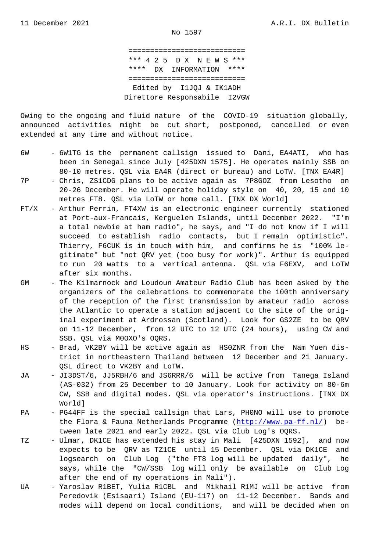=========================== \*\*\* 4 2 5 D X N E W S \*\*\* \*\*\*\* DX INFORMATION \*\*\*\* =========================== Edited by I1JQJ & IK1ADH Direttore Responsabile I2VGW

Owing to the ongoing and fluid nature of the COVID-19 situation globally, announced activities might be cut short, postponed, cancelled or even extended at any time and without notice.

- 6W 6W1TG is the permanent callsign issued to Dani, EA4ATI, who has been in Senegal since July [425DXN 1575]. He operates mainly SSB on 80-10 metres. QSL via EA4R (direct or bureau) and LoTW. [TNX EA4R]
- 7P Chris, ZS1CDG plans to be active again as 7P8GOZ from Lesotho on 20-26 December. He will operate holiday style on 40, 20, 15 and 10 metres FT8. QSL via LoTW or home call. [TNX DX World]
- FT/X Arthur Perrin, FT4XW is an electronic engineer currently stationed at Port-aux-Francais, Kerguelen Islands, until December 2022. "I'm a total newbie at ham radio", he says, and "I do not know if I will succeed to establish radio contacts, but I remain optimistic". Thierry, F6CUK is in touch with him, and confirms he is "100% le gitimate" but "not QRV yet (too busy for work)". Arthur is equipped to run 20 watts to a vertical antenna. QSL via F6EXV, and LoTW after six months.
- GM The Kilmarnock and Loudoun Amateur Radio Club has been asked by the organizers of the celebrations to commemorate the 100th anniversary of the reception of the first transmission by amateur radio across the Atlantic to operate a station adjacent to the site of the orig inal experiment at Ardrossan (Scotland). Look for GS2ZE to be QRV on 11-12 December, from 12 UTC to 12 UTC (24 hours), using CW and SSB. QSL via M0OXO's OQRS.
- HS Brad, VK2BY will be active again as HS0ZNR from the Nam Yuen dis trict in northeastern Thailand between 12 December and 21 January. QSL direct to VK2BY and LoTW.
- JA JI3DST/6, JJ5RBH/6 and JS6RRR/6 will be active from Tanega Island (AS-032) from 25 December to 10 January. Look for activity on 80-6m CW, SSB and digital modes. QSL via operator's instructions. [TNX DX World]
- PA PG44FF is the special callsign that Lars, PHONO will use to promote the Flora & Fauna Netherlands Programme (http://www.pa-ff.nl/) between late 2021 and early 2022. QSL via Club Log's OQRS.
- TZ Ulmar, DK1CE has extended his stay in Mali [425DXN 1592], and now expects to be QRV as TZ1CE until 15 De[cember. QSL via DK1C](http://www.pa-ff.nl/)E and logsearch on Club Log ("the FT8 log will be updated daily", he says, while the "CW/SSB log will only be available on Club Log after the end of my operations in Mali").
- UA Yaroslav R1BET, Yulia R1CBL and Mikhail R1MJ will be active from Peredovik (Esisaari) Island (EU-117) on 11-12 December. Bands and modes will depend on local conditions, and will be decided when on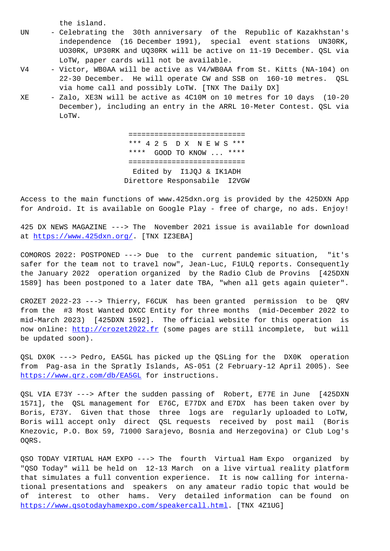- UN Celebrating the 30th anniversary of the Republic of Kazakhstan's independence (16 December 1991), special event stations UN30RK, UO30RK, UP30RK and UQ30RK will be active on 11-19 December. QSL via LoTW, paper cards will not be available.
- V4 Victor, WBOAA will be active as V4/WBOAA from St. Kitts (NA-104) on 22-30 December. He will operate CW and SSB on 160-10 metres. QSL via home call and possibly LoTW. [TNX The Daily DX]
- XE Zalo, XE3N will be active as 4C10M on 10 metres for 10 days (10-20 December), including an entry in the ARRL 10-Meter Contest. QSL via LoTW.

 =========================== \*\*\* 4 2 5 D X N E W S \*\*\* \*\*\*\* GOOD TO KNOW ... \*\*\*\* =========================== Edited by I1JQJ & IK1ADH Direttore Responsabile I2VGW

Access to the main functions of www.425dxn.org is provided by the 425DXN App for Android. It is available on Google Play - free of charge, no ads. Enjoy!

425 DX NEWS MAGAZINE ---> The November 2021 issue is available for download at https://www.425dxn.org/. [TNX IZ3EBA]

COMOROS 2022: POSTPONED ---> Due to the current pandemic situation, "it's saf[er for the team not to t](https://www.425dxn.org/)ravel now", Jean-Luc, F1ULQ reports. Consequently the January 2022 operation organized by the Radio Club de Provins [425DXN 1589] has been postponed to a later date TBA, "when all gets again quieter".

CROZET 2022-23 ---> Thierry, F6CUK has been granted permission to be QRV from the #3 Most Wanted DXCC Entity for three months (mid-December 2022 to mid-March 2023) [425DXN 1592]. The official website for this operation is now online: http://crozet2022.fr (some pages are still incomplete, but will be updated soon).

QSL DX0K ---> Pedro, EA5GL has picked up the QSLing for the DX0K operation from Pag-a[sa in the Spratly Isl](http://crozet2022.fr)ands, AS-051 (2 February-12 April 2005). See https://www.qrz.com/db/EA5GL for instructions.

QSL VIA E73Y ---> After the sudden passing of Robert, E77E in June [425DXN 1571], the QSL management for E76C, E77DX and E7DX has been taken over by [Boris, E73Y. Given that thos](https://www.qrz.com/db/EA5GL)e three logs are regularly uploaded to LoTW, Boris will accept only direct QSL requests received by post mail (Boris Knezovic, P.O. Box 59, 71000 Sarajevo, Bosnia and Herzegovina) or Club Log's OQRS.

QSO TODAY VIRTUAL HAM EXPO ---> The fourth Virtual Ham Expo organized by "QSO Today" will be held on 12-13 March on a live virtual reality platform that simulates a full convention experience. It is now calling for international presentations and speakers on any amateur radio topic that would be of interest to other hams. Very detailed information can be found on https://www.qsotodayhamexpo.com/speakercall.html. [TNX 4Z1UG]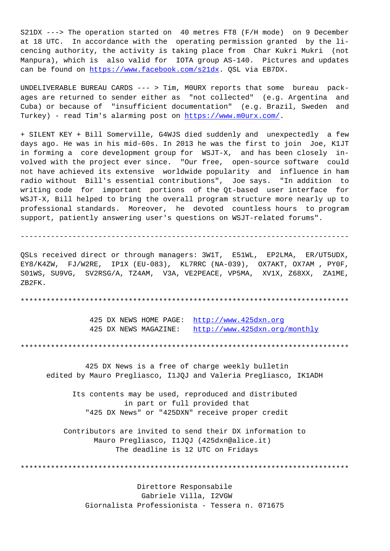S21DX ---> The operation started on 40 metres FT8 (F/H mode) on 9 December at 18 UTC. In accordance with the operating permission granted by the licencing authority, the activity is taking place from Char Kukri Mukri (not Manpura), which is also valid for IOTA group AS-140. Pictures and updates can be found on https://www.facebook.com/s21dx. QSL via EB7DX.

UNDELIVERABLE BUREAU CARDS --- > Tim, M0URX reports that some bureau packages are returned to sender either as "not collected" (e.g. Argentina and Cuba) or because [of "insufficient documentatio](https://www.facebook.com/s21dx)n" (e.g. Brazil, Sweden and Turkey) - read Tim's alarming post on https://www.m0urx.com/.

+ SILENT KEY + Bill Somerville, G4WJS died suddenly and unexpectedly a few days ago. He was in his mid-60s. In 2013 he was the first to join Joe, K1JT in forming a core development group f[or WSJT-X, and has b](https://www.m0urx.com/)een closely involved with the project ever since. "Our free, open-source software could not have achieved its extensive worldwide popularity and influence in ham radio without Bill's essential contributions", Joe says. "In addition to writing code for important portions of the Qt-based user interface for WSJT-X, Bill helped to bring the overall program structure more nearly up to professional standards. Moreover, he devoted countless hours to program support, patiently answering user's questions on WSJT-related forums".

----------------------------------------------------------------------------

QSLs received direct or through managers: 3W1T, E51WL, EP2LMA, ER/UT5UDX, EY8/K4ZW, FJ/W2RE, IP1X (EU-083), KL7RRC (NA-039), OX7AKT, OX7AM , PY0F, S01WS, SU9VG, SV2RSG/A, TZ4AM, V3A, VE2PEACE, VP5MA, XV1X, Z68XX, ZA1ME, ZB2FK.

\*\*\*\*\*\*\*\*\*\*\*\*\*\*\*\*\*\*\*\*\*\*\*\*\*\*\*\*\*\*\*\*\*\*\*\*\*\*\*\*\*\*\*\*\*\*\*\*\*\*\*\*\*\*\*\*\*\*\*\*\*\*\*\*\*\*\*\*\*\*\*\*\*\*\*\*

425 DX NEWS HOME PAGE: http://www.425dxn.org 425 DX NEWS MAGAZINE: http://www.425dxn.org/monthly

\*\*\*\*\*\*\*\*\*\*\*\*\*\*\*\*\*\*\*\*\*\*\*\*\*\*\*\*\*\*\*\*\*\*\*\*\*\*\*[\\*\\*\\*\\*\\*\\*\\*\\*\\*\\*\\*\\*\\*\\*\\*\\*\\*\\*\\*\\*\\*\\*\\*](http://www.425dxn.org)\*\*\*\*\*\*\*\*\*\*\*\*\*\*

 425 DX News is a free of [charge weekly bulletin](http://www.425dxn.org/monthly) edited by Mauro Pregliasco, I1JQJ and Valeria Pregliasco, IK1ADH

 Its contents may be used, reproduced and distributed in part or full provided that "425 DX News" or "425DXN" receive proper credit

 Contributors are invited to send their DX information to Mauro Pregliasco, I1JQJ (425dxn@alice.it) The deadline is 12 UTC on Fridays

\*\*\*\*\*\*\*\*\*\*\*\*\*\*\*\*\*\*\*\*\*\*\*\*\*\*\*\*\*\*\*\*\*\*\*\*\*\*\*\*\*\*\*\*\*\*\*\*\*\*\*\*\*\*\*\*\*\*\*\*\*\*\*\*\*\*\*\*\*\*\*\*\*\*\*\*

 Direttore Responsabile Gabriele Villa, I2VGW Giornalista Professionista - Tessera n. 071675